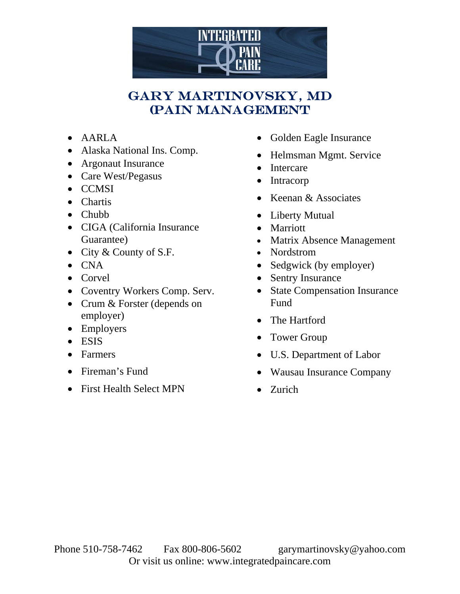

## Gary Martinovsky, MD (PAIN MANAGEMENT

- AARLA
- Alaska National Ins. Comp.
- Argonaut Insurance
- Care West/Pegasus
- CCMSI
- Chartis
- Chubb
- CIGA (California Insurance Guarantee)
- City & County of S.F.
- $\bullet$  CNA
- Corvel
- Coventry Workers Comp. Serv.
- Crum & Forster (depends on employer)
- Employers
- ESIS
- Farmers
- Fireman's Fund
- First Health Select MPN
- Golden Eagle Insurance
- Helmsman Mgmt. Service
- Intercare
- Intracorp
- Keenan & Associates
- Liberty Mutual
- Marriott
- Matrix Absence Management
- Nordstrom
- Sedgwick (by employer)
- Sentry Insurance
- State Compensation Insurance Fund
- The Hartford
- Tower Group
- U.S. Department of Labor
- Wausau Insurance Company
- Zurich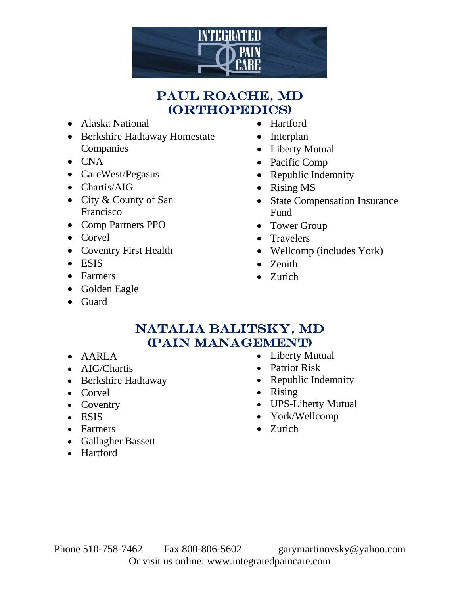

## Paul roache, MD (Orthopedics)

- Alaska National
- Berkshire Hathaway Homestate Companies
- CNA
- CareWest/Pegasus
- Chartis/AIG
- City & County of San Francisco
- Comp Partners PPO
- Corvel
- Coventry First Health
- ESIS
- Farmers
- Golden Eagle
- Guard
- Hartford
- Interplan
- Liberty Mutual
- Pacific Comp
- Republic Indemnity
- Rising MS
- State Compensation Insurance Fund
- Tower Group
- Travelers
- Wellcomp (includes York)
- Zenith
- Zurich

## natalia balitsky, md (PAIN MANAGEMENT)

- AARLA
- AIG/Chartis
- Berkshire Hathaway
- Corvel
- Coventry
- ESIS
- Farmers
- Gallagher Bassett
- Hartford
- Liberty Mutual
- Patriot Risk
- Republic Indemnity
- Rising
- UPS-Liberty Mutual
- York/Wellcomp
- Zurich